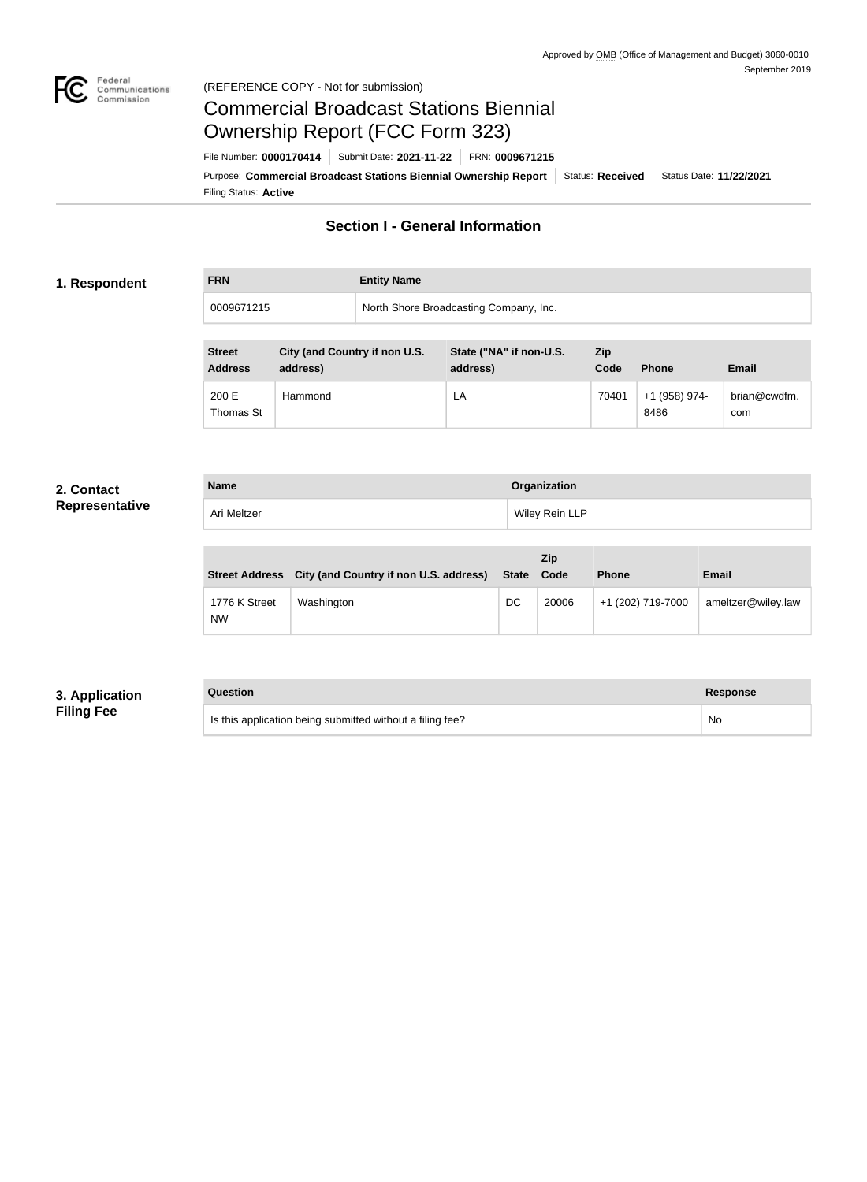

#### Federal<br>Communications<br>Commission (REFERENCE COPY - Not for submission)

## Commercial Broadcast Stations Biennial Ownership Report (FCC Form 323)

**FRN Entity Name**

Filing Status: **Active** Purpose: Commercial Broadcast Stations Biennial Ownership Report Status: Received Status Date: 11/22/2021 File Number: **0000170414** Submit Date: **2021-11-22** FRN: **0009671215**

### **Section I - General Information**

#### **1. Respondent**

0009671215 North Shore Broadcasting Company, Inc.

| <b>Street</b><br><b>Address</b> | City (and Country if non U.S.<br>address) | State ("NA" if non-U.S.<br>address) | <b>Zip</b><br>Code | <b>Phone</b>          | <b>Email</b>        |
|---------------------------------|-------------------------------------------|-------------------------------------|--------------------|-----------------------|---------------------|
| 200 E<br>Thomas St              | Hammond                                   | LA                                  | 70401              | +1 (958) 974-<br>8486 | brian@cwdfm.<br>com |

#### **2. Contact Representative**

| <b>Name</b> | Organization   |
|-------------|----------------|
| Ari Meltzer | Wiley Rein LLP |

| <b>Street Address</b>      | City (and Country if non U.S. address) | <b>State</b> | Zip<br>Code | <b>Phone</b>      | <b>Email</b>       |
|----------------------------|----------------------------------------|--------------|-------------|-------------------|--------------------|
| 1776 K Street<br><b>NW</b> | Washington                             | DC           | 20006       | +1 (202) 719-7000 | ameltzer@wiley.law |

#### **3. Application Filing Fee**

| Question                                                  | <b>Response</b> |
|-----------------------------------------------------------|-----------------|
| Is this application being submitted without a filing fee? | No              |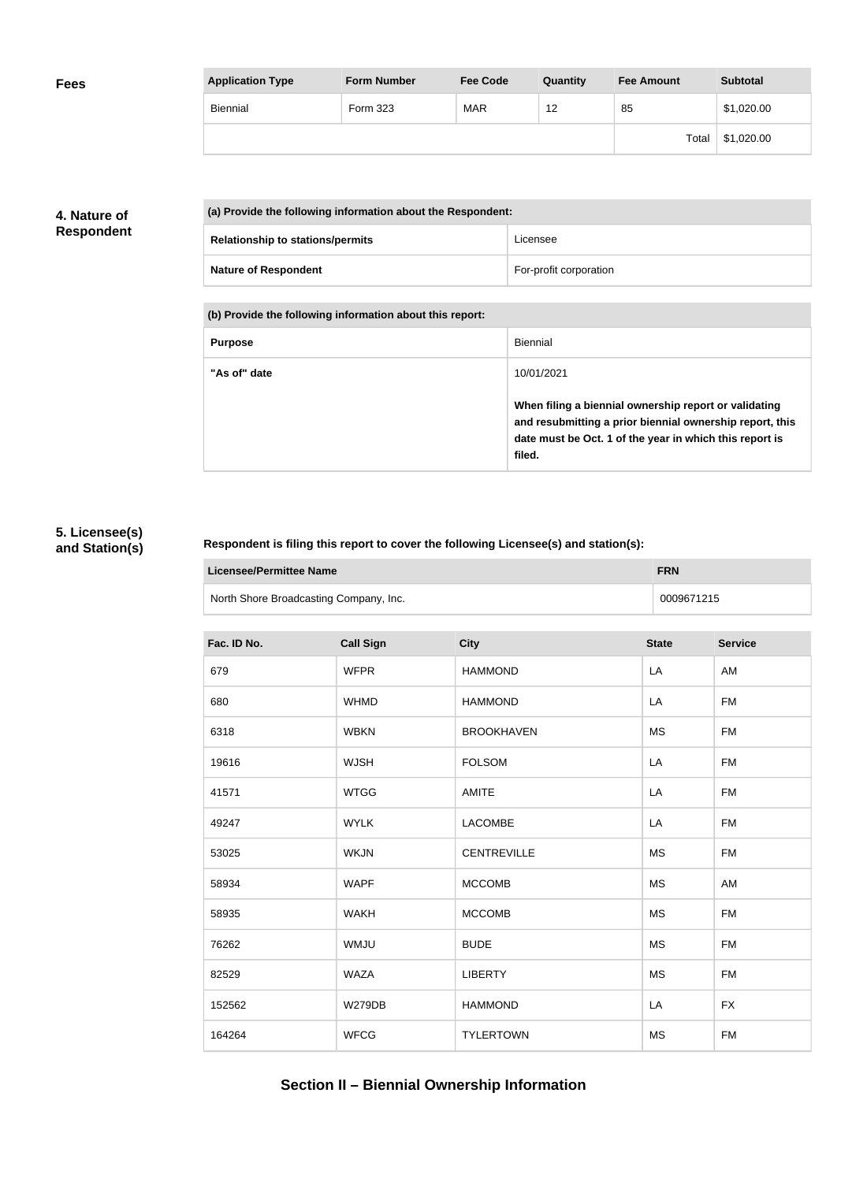| <b>Application Type</b> | <b>Form Number</b> | <b>Fee Code</b> | Quantity | <b>Fee Amount</b> | <b>Subtotal</b> |
|-------------------------|--------------------|-----------------|----------|-------------------|-----------------|
| <b>Biennial</b>         | Form 323           | <b>MAR</b>      | 12       | 85                | \$1,020.00      |
|                         |                    |                 |          | Total             | \$1,020.00      |

#### **4. Nature of Respondent**

| (a) Provide the following information about the Respondent: |                        |  |
|-------------------------------------------------------------|------------------------|--|
| <b>Relationship to stations/permits</b>                     | Licensee               |  |
| <b>Nature of Respondent</b>                                 | For-profit corporation |  |

**(b) Provide the following information about this report:**

| <b>Purpose</b> | Biennial                                                                                                                                                                               |
|----------------|----------------------------------------------------------------------------------------------------------------------------------------------------------------------------------------|
| "As of" date   | 10/01/2021                                                                                                                                                                             |
|                | When filing a biennial ownership report or validating<br>and resubmitting a prior biennial ownership report, this<br>date must be Oct. 1 of the year in which this report is<br>filed. |

#### **5. Licensee(s) and Station(s)**

#### **Respondent is filing this report to cover the following Licensee(s) and station(s):**

| Licensee/Permittee Name                | <b>FRN</b> |
|----------------------------------------|------------|
| North Shore Broadcasting Company, Inc. | 0009671215 |

| Fac. ID No. | <b>Call Sign</b> | <b>City</b>        | <b>State</b> | <b>Service</b> |
|-------------|------------------|--------------------|--------------|----------------|
| 679         | <b>WFPR</b>      | <b>HAMMOND</b>     | LA           | AM             |
| 680         | <b>WHMD</b>      | <b>HAMMOND</b>     | LA           | <b>FM</b>      |
| 6318        | <b>WBKN</b>      | <b>BROOKHAVEN</b>  | <b>MS</b>    | <b>FM</b>      |
| 19616       | <b>WJSH</b>      | <b>FOLSOM</b>      | LA           | <b>FM</b>      |
| 41571       | <b>WTGG</b>      | <b>AMITE</b>       | LA           | <b>FM</b>      |
| 49247       | <b>WYLK</b>      | <b>LACOMBE</b>     | LA           | <b>FM</b>      |
| 53025       | <b>WKJN</b>      | <b>CENTREVILLE</b> | <b>MS</b>    | FM             |
| 58934       | <b>WAPF</b>      | <b>MCCOMB</b>      | <b>MS</b>    | AM             |
| 58935       | <b>WAKH</b>      | <b>MCCOMB</b>      | <b>MS</b>    | <b>FM</b>      |
| 76262       | <b>WMJU</b>      | <b>BUDE</b>        | <b>MS</b>    | <b>FM</b>      |
| 82529       | <b>WAZA</b>      | <b>LIBERTY</b>     | <b>MS</b>    | <b>FM</b>      |
| 152562      | <b>W279DB</b>    | <b>HAMMOND</b>     | LA           | <b>FX</b>      |
| 164264      | <b>WFCG</b>      | <b>TYLERTOWN</b>   | <b>MS</b>    | <b>FM</b>      |

## **Section II – Biennial Ownership Information**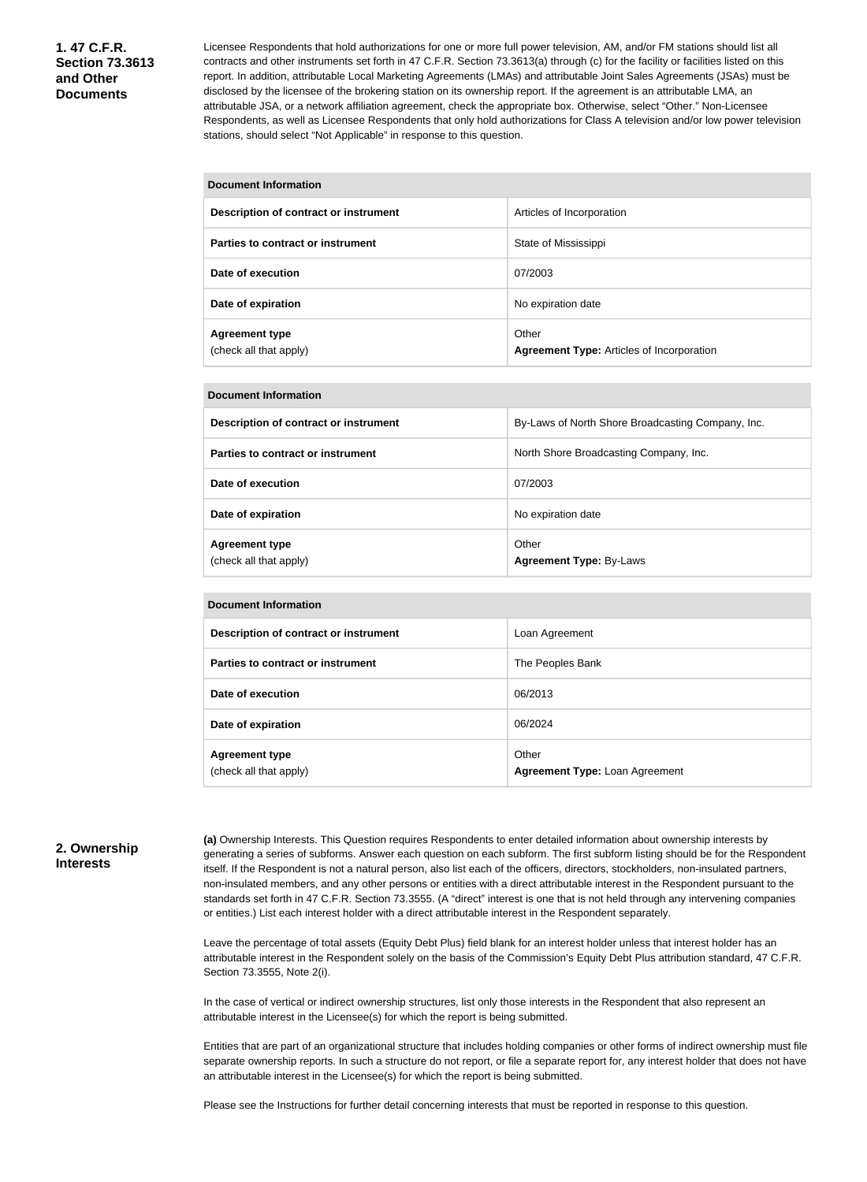Licensee Respondents that hold authorizations for one or more full power television, AM, and/or FM stations should list all contracts and other instruments set forth in 47 C.F.R. Section 73.3613(a) through (c) for the facility or facilities listed on this report. In addition, attributable Local Marketing Agreements (LMAs) and attributable Joint Sales Agreements (JSAs) must be disclosed by the licensee of the brokering station on its ownership report. If the agreement is an attributable LMA, an attributable JSA, or a network affiliation agreement, check the appropriate box. Otherwise, select "Other." Non-Licensee Respondents, as well as Licensee Respondents that only hold authorizations for Class A television and/or low power television stations, should select "Not Applicable" in response to this question.

| <b>Document Information</b>                     |                                                           |  |  |
|-------------------------------------------------|-----------------------------------------------------------|--|--|
| Description of contract or instrument           | Articles of Incorporation                                 |  |  |
| Parties to contract or instrument               | State of Mississippi                                      |  |  |
| Date of execution                               | 07/2003                                                   |  |  |
| Date of expiration                              | No expiration date                                        |  |  |
| <b>Agreement type</b><br>(check all that apply) | Other<br><b>Agreement Type: Articles of Incorporation</b> |  |  |

#### **Document Information**

| Description of contract or instrument           | By-Laws of North Shore Broadcasting Company, Inc. |
|-------------------------------------------------|---------------------------------------------------|
| Parties to contract or instrument               | North Shore Broadcasting Company, Inc.            |
| Date of execution                               | 07/2003                                           |
| Date of expiration                              | No expiration date                                |
| <b>Agreement type</b><br>(check all that apply) | Other<br><b>Agreement Type: By-Laws</b>           |

| <b>Document Information</b>                     |                                         |  |  |  |
|-------------------------------------------------|-----------------------------------------|--|--|--|
| Description of contract or instrument           | Loan Agreement                          |  |  |  |
| Parties to contract or instrument               | The Peoples Bank                        |  |  |  |
| Date of execution                               | 06/2013                                 |  |  |  |
| Date of expiration                              | 06/2024                                 |  |  |  |
| <b>Agreement type</b><br>(check all that apply) | Other<br>Agreement Type: Loan Agreement |  |  |  |

#### **2. Ownership Interests**

**(a)** Ownership Interests. This Question requires Respondents to enter detailed information about ownership interests by generating a series of subforms. Answer each question on each subform. The first subform listing should be for the Respondent itself. If the Respondent is not a natural person, also list each of the officers, directors, stockholders, non-insulated partners, non-insulated members, and any other persons or entities with a direct attributable interest in the Respondent pursuant to the standards set forth in 47 C.F.R. Section 73.3555. (A "direct" interest is one that is not held through any intervening companies or entities.) List each interest holder with a direct attributable interest in the Respondent separately.

Leave the percentage of total assets (Equity Debt Plus) field blank for an interest holder unless that interest holder has an attributable interest in the Respondent solely on the basis of the Commission's Equity Debt Plus attribution standard, 47 C.F.R. Section 73.3555, Note 2(i).

In the case of vertical or indirect ownership structures, list only those interests in the Respondent that also represent an attributable interest in the Licensee(s) for which the report is being submitted.

Entities that are part of an organizational structure that includes holding companies or other forms of indirect ownership must file separate ownership reports. In such a structure do not report, or file a separate report for, any interest holder that does not have an attributable interest in the Licensee(s) for which the report is being submitted.

Please see the Instructions for further detail concerning interests that must be reported in response to this question.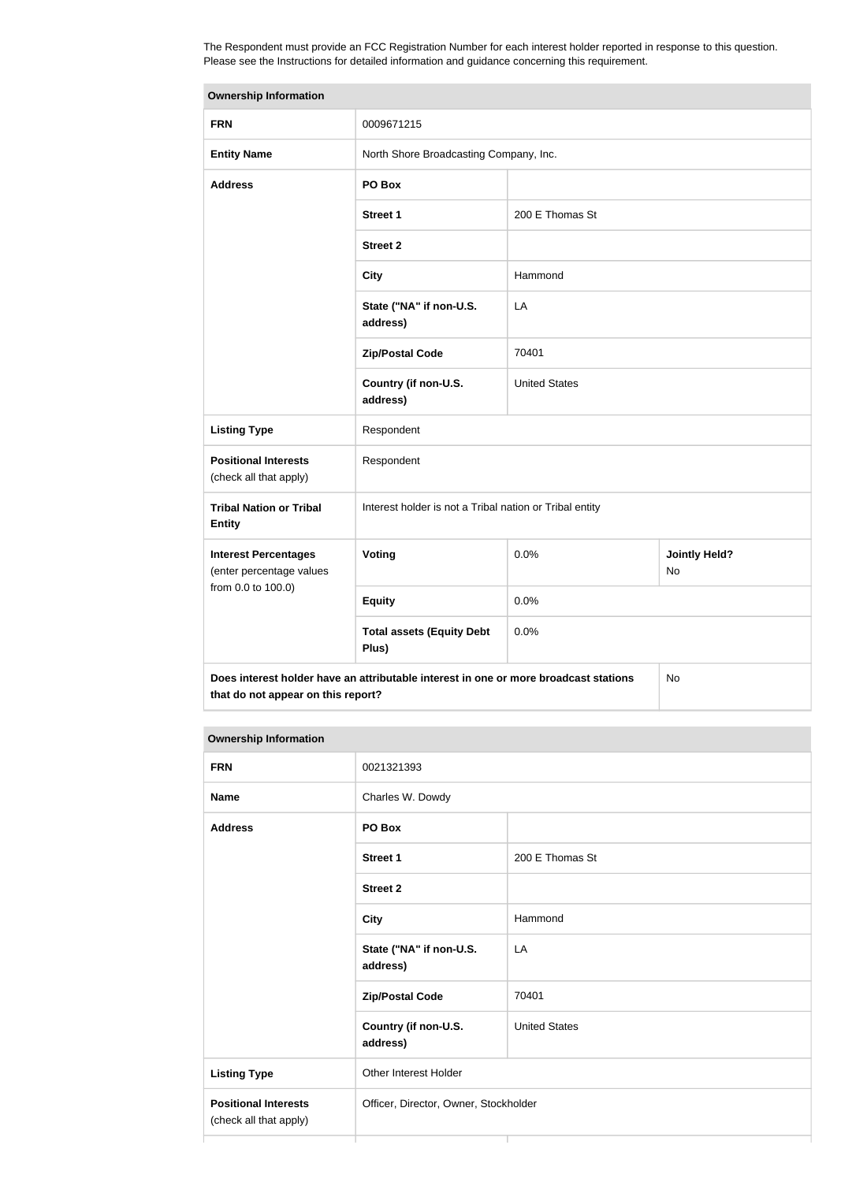The Respondent must provide an FCC Registration Number for each interest holder reported in response to this question. Please see the Instructions for detailed information and guidance concerning this requirement.

| <b>Ownership Information</b>                            |                                                                                      |                      |                            |  |
|---------------------------------------------------------|--------------------------------------------------------------------------------------|----------------------|----------------------------|--|
| <b>FRN</b>                                              | 0009671215                                                                           |                      |                            |  |
| <b>Entity Name</b>                                      | North Shore Broadcasting Company, Inc.                                               |                      |                            |  |
| <b>Address</b>                                          | PO Box                                                                               |                      |                            |  |
|                                                         | <b>Street 1</b>                                                                      | 200 E Thomas St      |                            |  |
|                                                         | <b>Street 2</b>                                                                      |                      |                            |  |
|                                                         | <b>City</b>                                                                          | Hammond              |                            |  |
|                                                         | State ("NA" if non-U.S.<br>address)                                                  | LA                   |                            |  |
|                                                         | <b>Zip/Postal Code</b>                                                               | 70401                |                            |  |
|                                                         | Country (if non-U.S.<br>address)                                                     | <b>United States</b> |                            |  |
| <b>Listing Type</b>                                     | Respondent                                                                           |                      |                            |  |
| <b>Positional Interests</b><br>(check all that apply)   | Respondent                                                                           |                      |                            |  |
| <b>Tribal Nation or Tribal</b><br><b>Entity</b>         | Interest holder is not a Tribal nation or Tribal entity                              |                      |                            |  |
| <b>Interest Percentages</b><br>(enter percentage values | Voting                                                                               | 0.0%                 | <b>Jointly Held?</b><br>No |  |
| from 0.0 to 100.0)                                      | <b>Equity</b>                                                                        | 0.0%                 |                            |  |
|                                                         | <b>Total assets (Equity Debt</b><br>Plus)                                            | 0.0%                 |                            |  |
| that do not appear on this report?                      | Does interest holder have an attributable interest in one or more broadcast stations |                      | No                         |  |

#### **Ownership Information**

| <b>FRN</b>                                            | 0021321393                            |                      |  |
|-------------------------------------------------------|---------------------------------------|----------------------|--|
| <b>Name</b>                                           | Charles W. Dowdy                      |                      |  |
| <b>Address</b>                                        | PO Box                                |                      |  |
|                                                       | <b>Street 1</b>                       | 200 E Thomas St      |  |
|                                                       | <b>Street 2</b>                       |                      |  |
|                                                       | <b>City</b>                           | Hammond              |  |
|                                                       | State ("NA" if non-U.S.<br>address)   | LA                   |  |
|                                                       | <b>Zip/Postal Code</b>                | 70401                |  |
|                                                       | Country (if non-U.S.<br>address)      | <b>United States</b> |  |
| <b>Listing Type</b>                                   | Other Interest Holder                 |                      |  |
| <b>Positional Interests</b><br>(check all that apply) | Officer, Director, Owner, Stockholder |                      |  |
|                                                       |                                       |                      |  |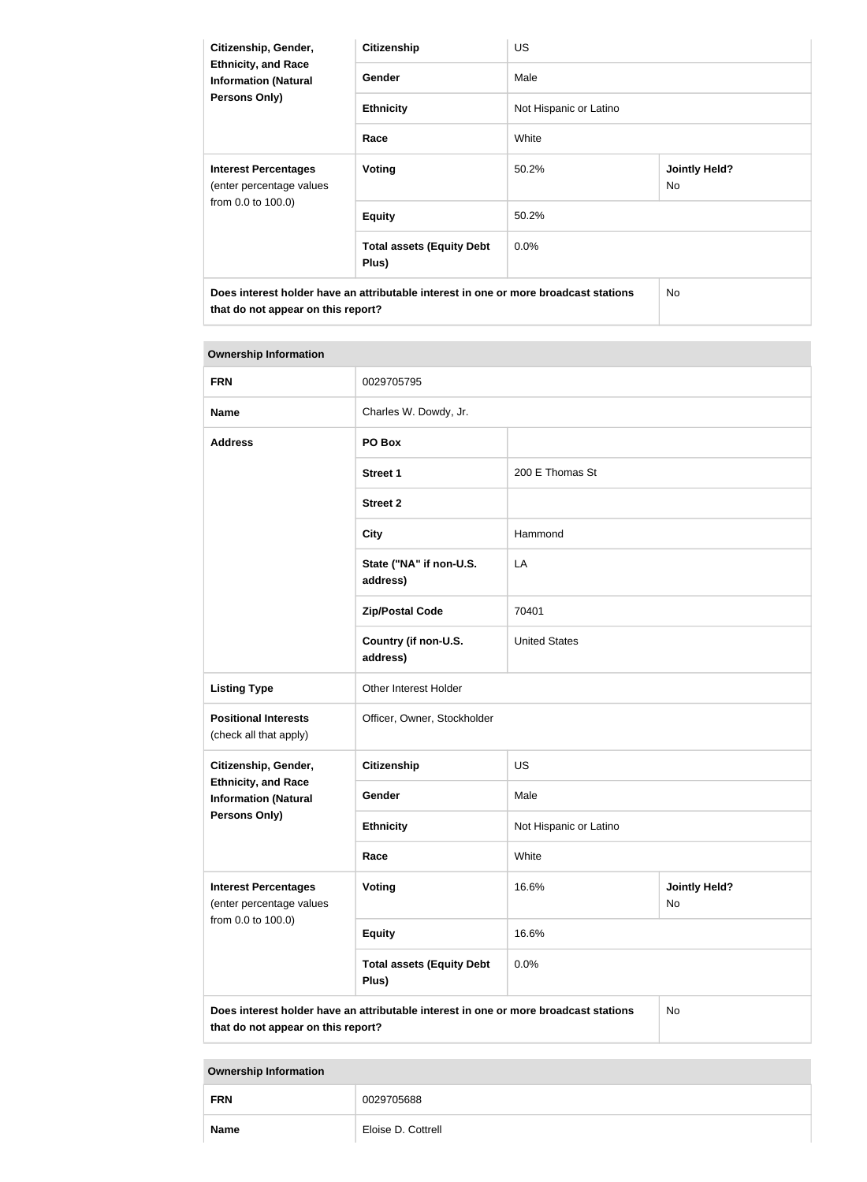| Citizenship, Gender,                                                                                                       | <b>Citizenship</b>                        | <b>US</b>              |                            |  |  |
|----------------------------------------------------------------------------------------------------------------------------|-------------------------------------------|------------------------|----------------------------|--|--|
| <b>Ethnicity, and Race</b><br><b>Information (Natural</b><br><b>Persons Only)</b>                                          | <b>Gender</b>                             | Male                   |                            |  |  |
|                                                                                                                            | <b>Ethnicity</b>                          | Not Hispanic or Latino |                            |  |  |
|                                                                                                                            | Race                                      | White                  |                            |  |  |
| <b>Interest Percentages</b><br>(enter percentage values<br>from 0.0 to 100.0)                                              | Voting                                    | 50.2%                  | <b>Jointly Held?</b><br>No |  |  |
|                                                                                                                            | <b>Equity</b>                             | 50.2%                  |                            |  |  |
|                                                                                                                            | <b>Total assets (Equity Debt</b><br>Plus) | $0.0\%$                |                            |  |  |
| Does interest holder have an attributable interest in one or more broadcast stations<br>that do not appear on this report? |                                           | No                     |                            |  |  |

| <b>Ownership Information</b>                              |                                                                                      |                                     |    |  |  |
|-----------------------------------------------------------|--------------------------------------------------------------------------------------|-------------------------------------|----|--|--|
| <b>FRN</b>                                                | 0029705795                                                                           |                                     |    |  |  |
| <b>Name</b>                                               | Charles W. Dowdy, Jr.                                                                |                                     |    |  |  |
| <b>Address</b>                                            | PO Box                                                                               |                                     |    |  |  |
|                                                           | <b>Street 1</b>                                                                      | 200 E Thomas St                     |    |  |  |
|                                                           | <b>Street 2</b>                                                                      |                                     |    |  |  |
|                                                           | <b>City</b>                                                                          | Hammond                             |    |  |  |
|                                                           | State ("NA" if non-U.S.<br>address)                                                  | LA                                  |    |  |  |
|                                                           | <b>Zip/Postal Code</b>                                                               | 70401                               |    |  |  |
|                                                           | Country (if non-U.S.<br>address)                                                     | <b>United States</b>                |    |  |  |
| <b>Listing Type</b>                                       | Other Interest Holder                                                                |                                     |    |  |  |
| <b>Positional Interests</b><br>(check all that apply)     | Officer, Owner, Stockholder                                                          |                                     |    |  |  |
| Citizenship, Gender,                                      | <b>Citizenship</b><br>US                                                             |                                     |    |  |  |
| <b>Ethnicity, and Race</b><br><b>Information (Natural</b> | Male<br>Gender                                                                       |                                     |    |  |  |
| Persons Only)                                             | <b>Ethnicity</b>                                                                     | Not Hispanic or Latino              |    |  |  |
|                                                           | Race                                                                                 | White                               |    |  |  |
| <b>Interest Percentages</b><br>(enter percentage values   | <b>Voting</b>                                                                        | 16.6%<br><b>Jointly Held?</b><br>No |    |  |  |
| from 0.0 to 100.0)                                        | <b>Equity</b>                                                                        | 16.6%                               |    |  |  |
|                                                           | <b>Total assets (Equity Debt</b><br>Plus)                                            | 0.0%                                |    |  |  |
|                                                           | Does interest holder have an attributable interest in one or more broadcast stations |                                     | No |  |  |

**that do not appear on this report?**

# **Ownership Information FRN** 0029705688 **Name** Eloise D. Cottrell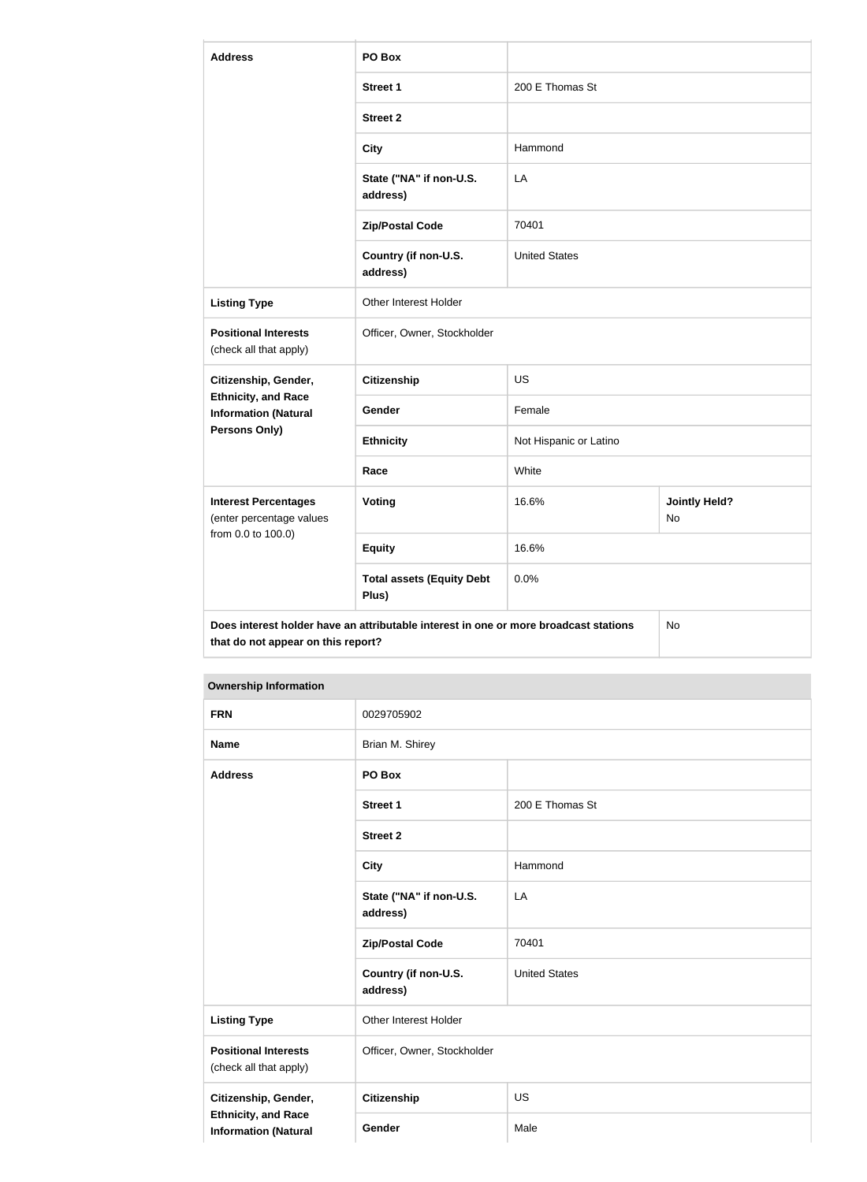| <b>Address</b>                                            | PO Box                                                                               |                                     |    |  |  |
|-----------------------------------------------------------|--------------------------------------------------------------------------------------|-------------------------------------|----|--|--|
|                                                           | <b>Street 1</b>                                                                      | 200 E Thomas St                     |    |  |  |
|                                                           | <b>Street 2</b>                                                                      |                                     |    |  |  |
|                                                           | <b>City</b>                                                                          | Hammond                             |    |  |  |
|                                                           | State ("NA" if non-U.S.<br>address)                                                  | LA                                  |    |  |  |
|                                                           | <b>Zip/Postal Code</b>                                                               | 70401                               |    |  |  |
|                                                           | Country (if non-U.S.<br>address)                                                     | <b>United States</b>                |    |  |  |
| <b>Listing Type</b>                                       | Other Interest Holder                                                                |                                     |    |  |  |
| <b>Positional Interests</b><br>(check all that apply)     | Officer, Owner, Stockholder                                                          |                                     |    |  |  |
| Citizenship, Gender,                                      | <b>Citizenship</b>                                                                   | <b>US</b>                           |    |  |  |
| <b>Ethnicity, and Race</b><br><b>Information (Natural</b> | Gender                                                                               | Female                              |    |  |  |
| <b>Persons Only)</b>                                      | <b>Ethnicity</b>                                                                     | Not Hispanic or Latino              |    |  |  |
|                                                           | Race                                                                                 | White                               |    |  |  |
| <b>Interest Percentages</b><br>(enter percentage values   | <b>Voting</b>                                                                        | 16.6%<br><b>Jointly Held?</b><br>No |    |  |  |
| from 0.0 to 100.0)                                        | <b>Equity</b>                                                                        | 16.6%<br>0.0%                       |    |  |  |
|                                                           | <b>Total assets (Equity Debt</b><br>Plus)                                            |                                     |    |  |  |
| that do not appear on this report?                        | Does interest holder have an attributable interest in one or more broadcast stations |                                     | No |  |  |

# **Ownership Information**

| Ownership information                                     |                                                                              |                      |  |  |
|-----------------------------------------------------------|------------------------------------------------------------------------------|----------------------|--|--|
| <b>FRN</b>                                                | 0029705902                                                                   |                      |  |  |
| <b>Name</b>                                               | Brian M. Shirey                                                              |                      |  |  |
| <b>Address</b>                                            | PO Box                                                                       |                      |  |  |
|                                                           | <b>Street 1</b>                                                              | 200 E Thomas St      |  |  |
|                                                           | <b>Street 2</b>                                                              |                      |  |  |
|                                                           | <b>City</b>                                                                  | Hammond              |  |  |
|                                                           | State ("NA" if non-U.S.<br>LA<br>address)<br>70401<br><b>Zip/Postal Code</b> |                      |  |  |
|                                                           |                                                                              |                      |  |  |
|                                                           | Country (if non-U.S.<br>address)                                             | <b>United States</b> |  |  |
| <b>Listing Type</b>                                       | Other Interest Holder                                                        |                      |  |  |
| <b>Positional Interests</b><br>(check all that apply)     | Officer, Owner, Stockholder                                                  |                      |  |  |
| Citizenship, Gender,                                      | Citizenship                                                                  | <b>US</b>            |  |  |
| <b>Ethnicity, and Race</b><br><b>Information (Natural</b> | Gender<br>Male                                                               |                      |  |  |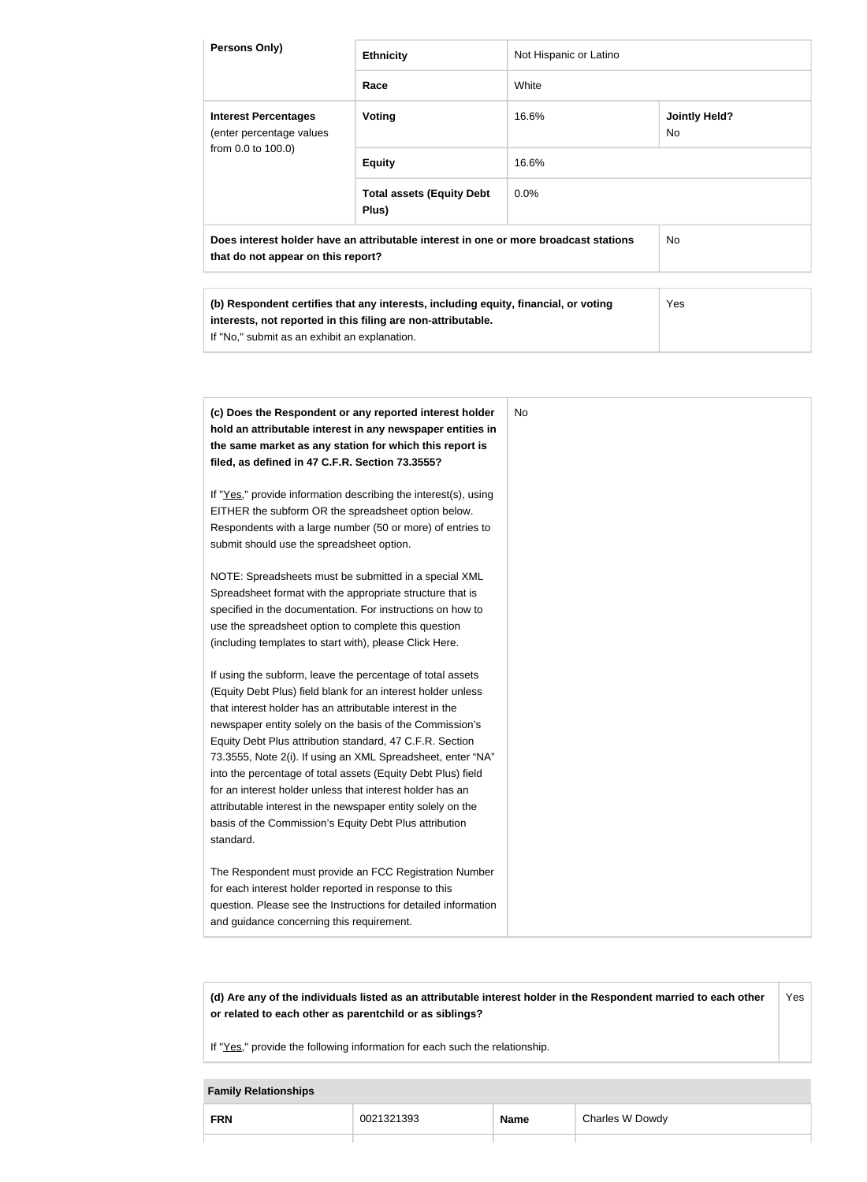| Persons Only)                                                                                                                                                                                                                                                                                                                                                                                                                                                                                                                                                                                                                                                  | <b>Ethnicity</b>                                                                                                                                                                                                                                                                                                                                                                                                                                                                                                                                                                                                                                                                                                                                                  | Not Hispanic or Latino |                                   |
|----------------------------------------------------------------------------------------------------------------------------------------------------------------------------------------------------------------------------------------------------------------------------------------------------------------------------------------------------------------------------------------------------------------------------------------------------------------------------------------------------------------------------------------------------------------------------------------------------------------------------------------------------------------|-------------------------------------------------------------------------------------------------------------------------------------------------------------------------------------------------------------------------------------------------------------------------------------------------------------------------------------------------------------------------------------------------------------------------------------------------------------------------------------------------------------------------------------------------------------------------------------------------------------------------------------------------------------------------------------------------------------------------------------------------------------------|------------------------|-----------------------------------|
|                                                                                                                                                                                                                                                                                                                                                                                                                                                                                                                                                                                                                                                                | Race                                                                                                                                                                                                                                                                                                                                                                                                                                                                                                                                                                                                                                                                                                                                                              | White                  |                                   |
| <b>Interest Percentages</b><br>(enter percentage values                                                                                                                                                                                                                                                                                                                                                                                                                                                                                                                                                                                                        | <b>Voting</b>                                                                                                                                                                                                                                                                                                                                                                                                                                                                                                                                                                                                                                                                                                                                                     | 16.6%                  | <b>Jointly Held?</b><br><b>No</b> |
| from 0.0 to 100.0)                                                                                                                                                                                                                                                                                                                                                                                                                                                                                                                                                                                                                                             | <b>Equity</b>                                                                                                                                                                                                                                                                                                                                                                                                                                                                                                                                                                                                                                                                                                                                                     | 16.6%                  |                                   |
|                                                                                                                                                                                                                                                                                                                                                                                                                                                                                                                                                                                                                                                                | <b>Total assets (Equity Debt</b><br>Plus)                                                                                                                                                                                                                                                                                                                                                                                                                                                                                                                                                                                                                                                                                                                         | 0.0%                   |                                   |
| that do not appear on this report?                                                                                                                                                                                                                                                                                                                                                                                                                                                                                                                                                                                                                             | Does interest holder have an attributable interest in one or more broadcast stations                                                                                                                                                                                                                                                                                                                                                                                                                                                                                                                                                                                                                                                                              |                        | No                                |
| If "No," submit as an exhibit an explanation.                                                                                                                                                                                                                                                                                                                                                                                                                                                                                                                                                                                                                  | (b) Respondent certifies that any interests, including equity, financial, or voting<br>interests, not reported in this filing are non-attributable.                                                                                                                                                                                                                                                                                                                                                                                                                                                                                                                                                                                                               |                        | Yes                               |
| filed, as defined in 47 C.F.R. Section 73.3555?<br>EITHER the subform OR the spreadsheet option below.<br>submit should use the spreadsheet option.<br>Spreadsheet format with the appropriate structure that is<br>use the spreadsheet option to complete this question<br>(including templates to start with), please Click Here.<br>that interest holder has an attributable interest in the<br>Equity Debt Plus attribution standard, 47 C.F.R. Section<br>for an interest holder unless that interest holder has an<br>attributable interest in the newspaper entity solely on the<br>basis of the Commission's Equity Debt Plus attribution<br>standard. | (c) Does the Respondent or any reported interest holder<br>hold an attributable interest in any newspaper entities in<br>the same market as any station for which this report is<br>If "Yes," provide information describing the interest(s), using<br>Respondents with a large number (50 or more) of entries to<br>NOTE: Spreadsheets must be submitted in a special XML<br>specified in the documentation. For instructions on how to<br>If using the subform, leave the percentage of total assets<br>(Equity Debt Plus) field blank for an interest holder unless<br>newspaper entity solely on the basis of the Commission's<br>73.3555, Note 2(i). If using an XML Spreadsheet, enter "NA"<br>into the percentage of total assets (Equity Debt Plus) field | <b>No</b>              |                                   |
| for each interest holder reported in response to this<br>and guidance concerning this requirement.                                                                                                                                                                                                                                                                                                                                                                                                                                                                                                                                                             | The Respondent must provide an FCC Registration Number<br>question. Please see the Instructions for detailed information                                                                                                                                                                                                                                                                                                                                                                                                                                                                                                                                                                                                                                          |                        |                                   |

**(d) Are any of the individuals listed as an attributable interest holder in the Respondent married to each other or related to each other as parentchild or as siblings?** Yes

If "Yes," provide the following information for each such the relationship.

#### **Family Relationships**

| <b>FRN</b> | 1321393<br>002 | <b>Name</b> | Charles W Dowdy |
|------------|----------------|-------------|-----------------|
|            |                |             |                 |